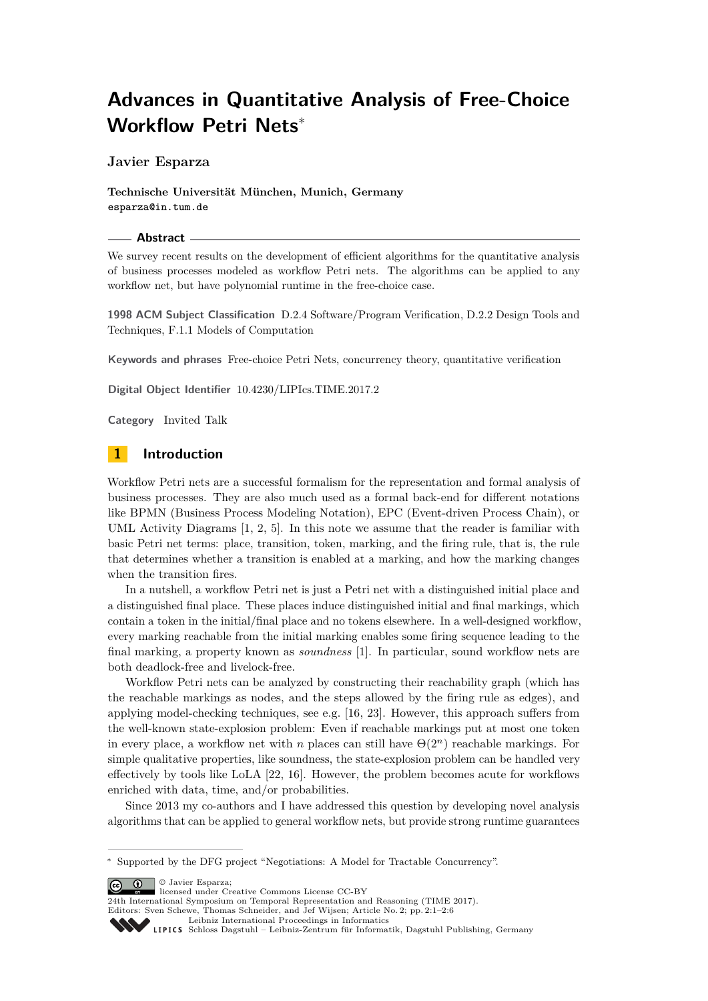# **Advances in Quantitative Analysis of Free-Choice Workflow Petri Nets**<sup>∗</sup>

**Javier Esparza**

**Technische Universität München, Munich, Germany esparza@in.tum.de**

#### **Abstract**

We survey recent results on the development of efficient algorithms for the quantitative analysis of business processes modeled as workflow Petri nets. The algorithms can be applied to any workflow net, but have polynomial runtime in the free-choice case.

**1998 ACM Subject Classification** D.2.4 Software/Program Verification, D.2.2 Design Tools and Techniques, F.1.1 Models of Computation

**Keywords and phrases** Free-choice Petri Nets, concurrency theory, quantitative verification

**Digital Object Identifier** [10.4230/LIPIcs.TIME.2017.2](http://dx.doi.org/10.4230/LIPIcs.TIME.2017.2)

**Category** Invited Talk

## **1 Introduction**

Workflow Petri nets are a successful formalism for the representation and formal analysis of business processes. They are also much used as a formal back-end for different notations like BPMN (Business Process Modeling Notation), EPC (Event-driven Process Chain), or UML Activity Diagrams [\[1,](#page-4-0) [2,](#page-4-1) [5\]](#page-4-2). In this note we assume that the reader is familiar with basic Petri net terms: place, transition, token, marking, and the firing rule, that is, the rule that determines whether a transition is enabled at a marking, and how the marking changes when the transition fires.

In a nutshell, a workflow Petri net is just a Petri net with a distinguished initial place and a distinguished final place. These places induce distinguished initial and final markings, which contain a token in the initial/final place and no tokens elsewhere. In a well-designed workflow, every marking reachable from the initial marking enables some firing sequence leading to the final marking, a property known as *soundness* [\[1\]](#page-4-0). In particular, sound workflow nets are both deadlock-free and livelock-free.

Workflow Petri nets can be analyzed by constructing their reachability graph (which has the reachable markings as nodes, and the steps allowed by the firing rule as edges), and applying model-checking techniques, see e.g. [\[16,](#page-4-3) [23\]](#page-5-0). However, this approach suffers from the well-known state-explosion problem: Even if reachable markings put at most one token in every place, a workflow net with *n* places can still have  $\Theta(2^n)$  reachable markings. For simple qualitative properties, like soundness, the state-explosion problem can be handled very effectively by tools like LoLA [\[22,](#page-5-1) [16\]](#page-4-3). However, the problem becomes acute for workflows enriched with data, time, and/or probabilities.

Since 2013 my co-authors and I have addressed this question by developing novel analysis algorithms that can be applied to general workflow nets, but provide strong runtime guarantees

© Javier Esparza;

licensed under Creative Commons License CC-BY

24th International Symposium on Temporal Representation and Reasoning (TIME 2017). Editors: Sven Schewe, Thomas Schneider, and Jef Wijsen; Article No. 2; pp. 2:1–2[:6](#page-5-2)

[Leibniz International Proceedings in Informatics](http://www.dagstuhl.de/lipics/)



<sup>∗</sup> Supported by the DFG project "Negotiations: A Model for Tractable Concurrency".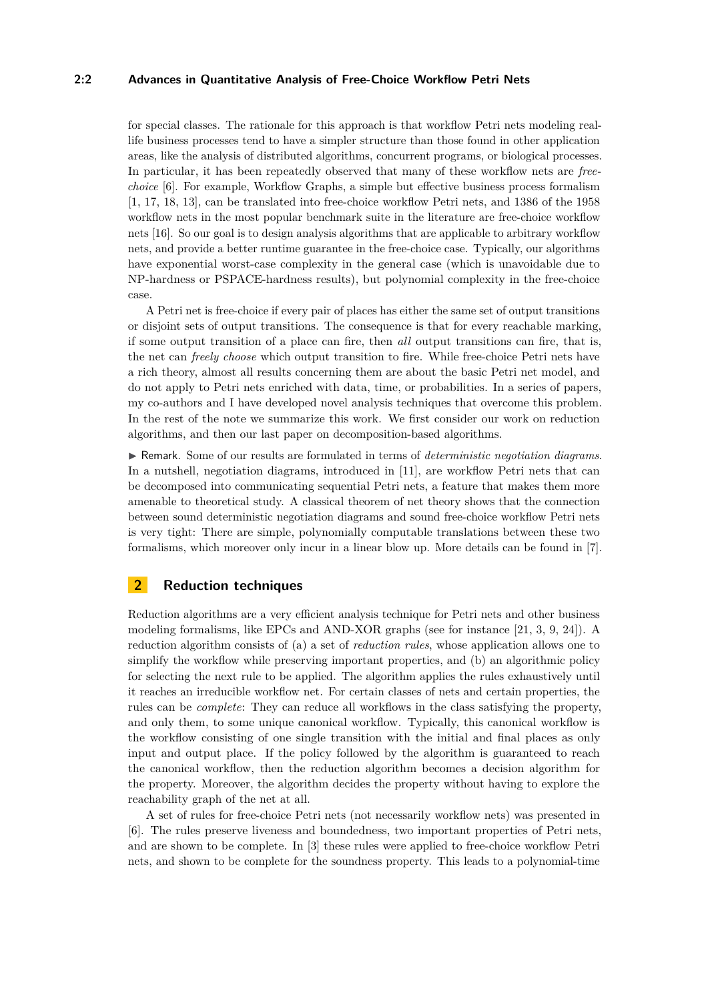## **2:2 Advances in Quantitative Analysis of Free-Choice Workflow Petri Nets**

for special classes. The rationale for this approach is that workflow Petri nets modeling reallife business processes tend to have a simpler structure than those found in other application areas, like the analysis of distributed algorithms, concurrent programs, or biological processes. In particular, it has been repeatedly observed that many of these workflow nets are *freechoice* [\[6\]](#page-4-4). For example, Workflow Graphs, a simple but effective business process formalism [\[1,](#page-4-0) [17,](#page-4-5) [18,](#page-4-6) [13\]](#page-4-7), can be translated into free-choice workflow Petri nets, and 1386 of the 1958 workflow nets in the most popular benchmark suite in the literature are free-choice workflow nets [\[16\]](#page-4-3). So our goal is to design analysis algorithms that are applicable to arbitrary workflow nets, and provide a better runtime guarantee in the free-choice case. Typically, our algorithms have exponential worst-case complexity in the general case (which is unavoidable due to NP-hardness or PSPACE-hardness results), but polynomial complexity in the free-choice case.

A Petri net is free-choice if every pair of places has either the same set of output transitions or disjoint sets of output transitions. The consequence is that for every reachable marking, if some output transition of a place can fire, then *all* output transitions can fire, that is, the net can *freely choose* which output transition to fire. While free-choice Petri nets have a rich theory, almost all results concerning them are about the basic Petri net model, and do not apply to Petri nets enriched with data, time, or probabilities. In a series of papers, my co-authors and I have developed novel analysis techniques that overcome this problem. In the rest of the note we summarize this work. We first consider our work on reduction algorithms, and then our last paper on decomposition-based algorithms.

I Remark. Some of our results are formulated in terms of *deterministic negotiation diagrams*. In a nutshell, negotiation diagrams, introduced in [\[11\]](#page-4-8), are workflow Petri nets that can be decomposed into communicating sequential Petri nets, a feature that makes them more amenable to theoretical study. A classical theorem of net theory shows that the connection between sound deterministic negotiation diagrams and sound free-choice workflow Petri nets is very tight: There are simple, polynomially computable translations between these two formalisms, which moreover only incur in a linear blow up. More details can be found in [\[7\]](#page-4-9).

## **2 Reduction techniques**

Reduction algorithms are a very efficient analysis technique for Petri nets and other business modeling formalisms, like EPCs and AND-XOR graphs (see for instance [\[21,](#page-5-3) [3,](#page-4-10) [9,](#page-4-11) [24\]](#page-5-4)). A reduction algorithm consists of (a) a set of *reduction rules*, whose application allows one to simplify the workflow while preserving important properties, and (b) an algorithmic policy for selecting the next rule to be applied. The algorithm applies the rules exhaustively until it reaches an irreducible workflow net. For certain classes of nets and certain properties, the rules can be *complete*: They can reduce all workflows in the class satisfying the property, and only them, to some unique canonical workflow. Typically, this canonical workflow is the workflow consisting of one single transition with the initial and final places as only input and output place. If the policy followed by the algorithm is guaranteed to reach the canonical workflow, then the reduction algorithm becomes a decision algorithm for the property. Moreover, the algorithm decides the property without having to explore the reachability graph of the net at all.

A set of rules for free-choice Petri nets (not necessarily workflow nets) was presented in [\[6\]](#page-4-4). The rules preserve liveness and boundedness, two important properties of Petri nets, and are shown to be complete. In [\[3\]](#page-4-10) these rules were applied to free-choice workflow Petri nets, and shown to be complete for the soundness property. This leads to a polynomial-time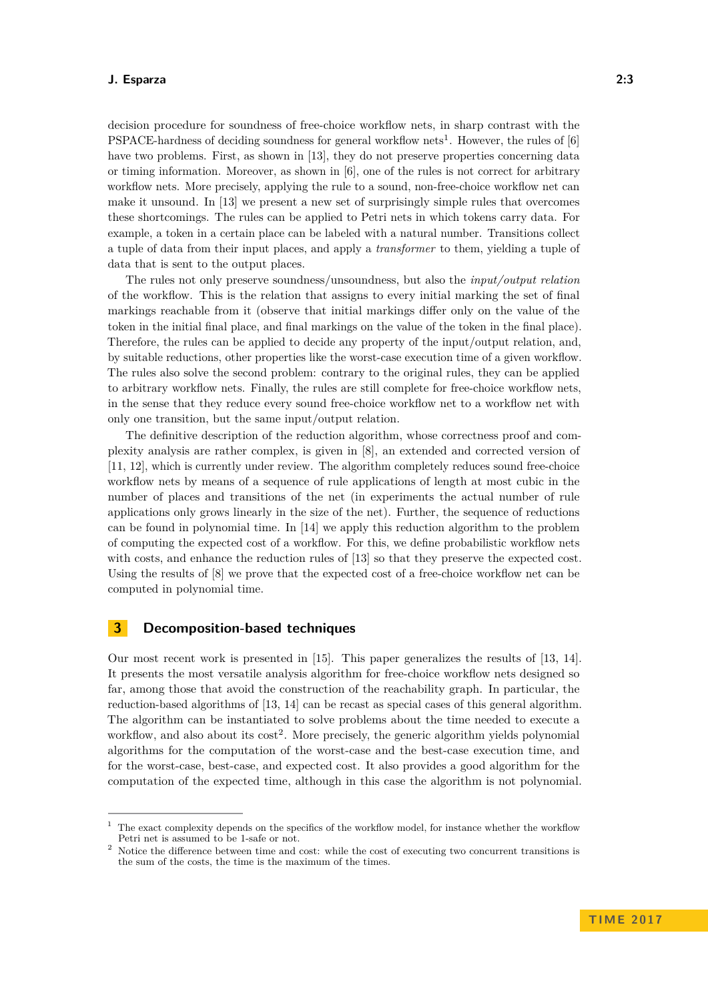#### **J. Esparza 2:3**

decision procedure for soundness of free-choice workflow nets, in sharp contrast with the PSPACE-hardness of deciding soundness for general workflow nets<sup>[1](#page-2-0)</sup>. However, the rules of  $[6]$ have two problems. First, as shown in [\[13\]](#page-4-7), they do not preserve properties concerning data or timing information. Moreover, as shown in [\[6\]](#page-4-4), one of the rules is not correct for arbitrary workflow nets. More precisely, applying the rule to a sound, non-free-choice workflow net can make it unsound. In [\[13\]](#page-4-7) we present a new set of surprisingly simple rules that overcomes these shortcomings. The rules can be applied to Petri nets in which tokens carry data. For example, a token in a certain place can be labeled with a natural number. Transitions collect a tuple of data from their input places, and apply a *transformer* to them, yielding a tuple of data that is sent to the output places.

The rules not only preserve soundness/unsoundness, but also the *input/output relation* of the workflow. This is the relation that assigns to every initial marking the set of final markings reachable from it (observe that initial markings differ only on the value of the token in the initial final place, and final markings on the value of the token in the final place). Therefore, the rules can be applied to decide any property of the input/output relation, and, by suitable reductions, other properties like the worst-case execution time of a given workflow. The rules also solve the second problem: contrary to the original rules, they can be applied to arbitrary workflow nets. Finally, the rules are still complete for free-choice workflow nets, in the sense that they reduce every sound free-choice workflow net to a workflow net with only one transition, but the same input/output relation.

The definitive description of the reduction algorithm, whose correctness proof and complexity analysis are rather complex, is given in [\[8\]](#page-4-12), an extended and corrected version of [\[11,](#page-4-8) [12\]](#page-4-13), which is currently under review. The algorithm completely reduces sound free-choice workflow nets by means of a sequence of rule applications of length at most cubic in the number of places and transitions of the net (in experiments the actual number of rule applications only grows linearly in the size of the net). Further, the sequence of reductions can be found in polynomial time. In [\[14\]](#page-4-14) we apply this reduction algorithm to the problem of computing the expected cost of a workflow. For this, we define probabilistic workflow nets with costs, and enhance the reduction rules of [\[13\]](#page-4-7) so that they preserve the expected cost. Using the results of [\[8\]](#page-4-12) we prove that the expected cost of a free-choice workflow net can be computed in polynomial time.

## **3 Decomposition-based techniques**

Our most recent work is presented in [\[15\]](#page-4-15). This paper generalizes the results of [\[13,](#page-4-7) [14\]](#page-4-14). It presents the most versatile analysis algorithm for free-choice workflow nets designed so far, among those that avoid the construction of the reachability graph. In particular, the reduction-based algorithms of [\[13,](#page-4-7) [14\]](#page-4-14) can be recast as special cases of this general algorithm. The algorithm can be instantiated to solve problems about the time needed to execute a workflow, and also about its  $cost^2$  $cost^2$ . More precisely, the generic algorithm yields polynomial algorithms for the computation of the worst-case and the best-case execution time, and for the worst-case, best-case, and expected cost. It also provides a good algorithm for the computation of the expected time, although in this case the algorithm is not polynomial.

<span id="page-2-0"></span> $1$  The exact complexity depends on the specifics of the workflow model, for instance whether the workflow Petri net is assumed to be 1-safe or not.

<span id="page-2-1"></span> $2$  Notice the difference between time and cost: while the cost of executing two concurrent transitions is the sum of the costs, the time is the maximum of the times.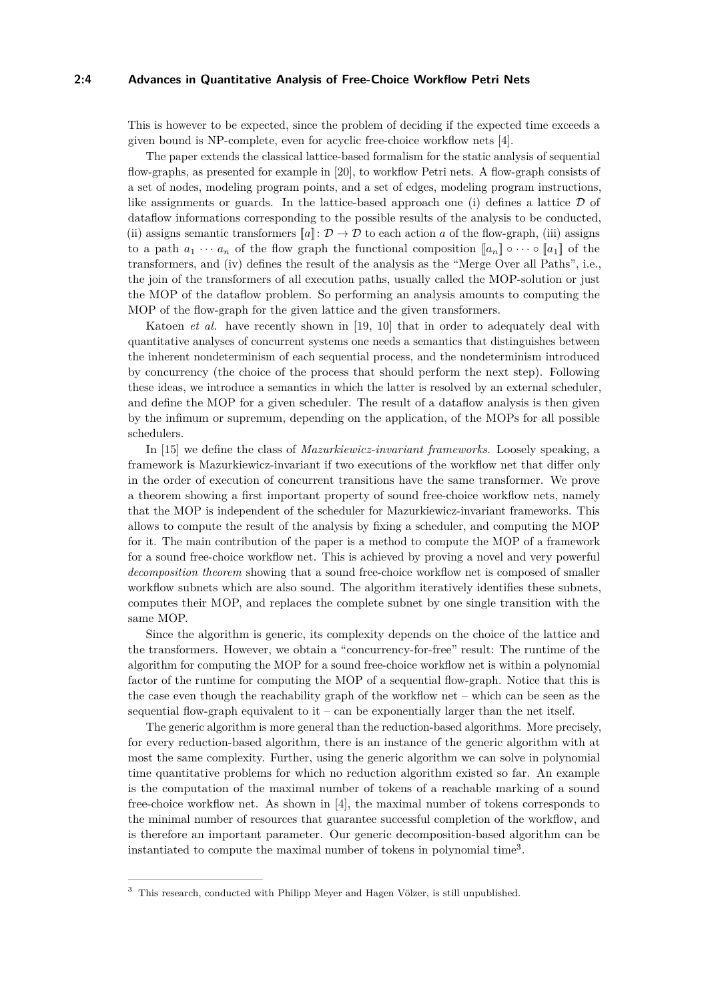#### **2:4 Advances in Quantitative Analysis of Free-Choice Workflow Petri Nets**

This is however to be expected, since the problem of deciding if the expected time exceeds a given bound is NP-complete, even for acyclic free-choice workflow nets [\[4\]](#page-4-16).

The paper extends the classical lattice-based formalism for the static analysis of sequential flow-graphs, as presented for example in [\[20\]](#page-4-17), to workflow Petri nets. A flow-graph consists of a set of nodes, modeling program points, and a set of edges, modeling program instructions, like assignments or guards. In the lattice-based approach one (i) defines a lattice  $\mathcal D$  of dataflow informations corresponding to the possible results of the analysis to be conducted, (ii) assigns semantic transformers  $[a]$ :  $\mathcal{D} \to \mathcal{D}$  to each action *a* of the flow-graph, (iii) assigns to a path  $a_1 \cdots a_n$  of the flow graph the functional composition  $\llbracket a_n \rrbracket \circ \cdots \circ \llbracket a_1 \rrbracket$  of the transformers, and (iv) defines the result of the analysis as the "Merge Over all Paths", i.e., the join of the transformers of all execution paths, usually called the MOP-solution or just the MOP of the dataflow problem. So performing an analysis amounts to computing the MOP of the flow-graph for the given lattice and the given transformers.

Katoen *et al.* have recently shown in [\[19,](#page-4-18) [10\]](#page-4-19) that in order to adequately deal with quantitative analyses of concurrent systems one needs a semantics that distinguishes between the inherent nondeterminism of each sequential process, and the nondeterminism introduced by concurrency (the choice of the process that should perform the next step). Following these ideas, we introduce a semantics in which the latter is resolved by an external scheduler, and define the MOP for a given scheduler. The result of a dataflow analysis is then given by the infimum or supremum, depending on the application, of the MOPs for all possible schedulers.

In [\[15\]](#page-4-15) we define the class of *Mazurkiewicz-invariant frameworks*. Loosely speaking, a framework is Mazurkiewicz-invariant if two executions of the workflow net that differ only in the order of execution of concurrent transitions have the same transformer. We prove a theorem showing a first important property of sound free-choice workflow nets, namely that the MOP is independent of the scheduler for Mazurkiewicz-invariant frameworks. This allows to compute the result of the analysis by fixing a scheduler, and computing the MOP for it. The main contribution of the paper is a method to compute the MOP of a framework for a sound free-choice workflow net. This is achieved by proving a novel and very powerful *decomposition theorem* showing that a sound free-choice workflow net is composed of smaller workflow subnets which are also sound. The algorithm iteratively identifies these subnets, computes their MOP, and replaces the complete subnet by one single transition with the same MOP.

Since the algorithm is generic, its complexity depends on the choice of the lattice and the transformers. However, we obtain a "concurrency-for-free" result: The runtime of the algorithm for computing the MOP for a sound free-choice workflow net is within a polynomial factor of the runtime for computing the MOP of a sequential flow-graph. Notice that this is the case even though the reachability graph of the workflow net – which can be seen as the sequential flow-graph equivalent to it – can be exponentially larger than the net itself.

The generic algorithm is more general than the reduction-based algorithms. More precisely, for every reduction-based algorithm, there is an instance of the generic algorithm with at most the same complexity. Further, using the generic algorithm we can solve in polynomial time quantitative problems for which no reduction algorithm existed so far. An example is the computation of the maximal number of tokens of a reachable marking of a sound free-choice workflow net. As shown in [\[4\]](#page-4-16), the maximal number of tokens corresponds to the minimal number of resources that guarantee successful completion of the workflow, and is therefore an important parameter. Our generic decomposition-based algorithm can be instantiated to compute the maximal number of tokens in polynomial time[3](#page-3-0) .

<span id="page-3-0"></span><sup>3</sup> This research, conducted with Philipp Meyer and Hagen Völzer, is still unpublished.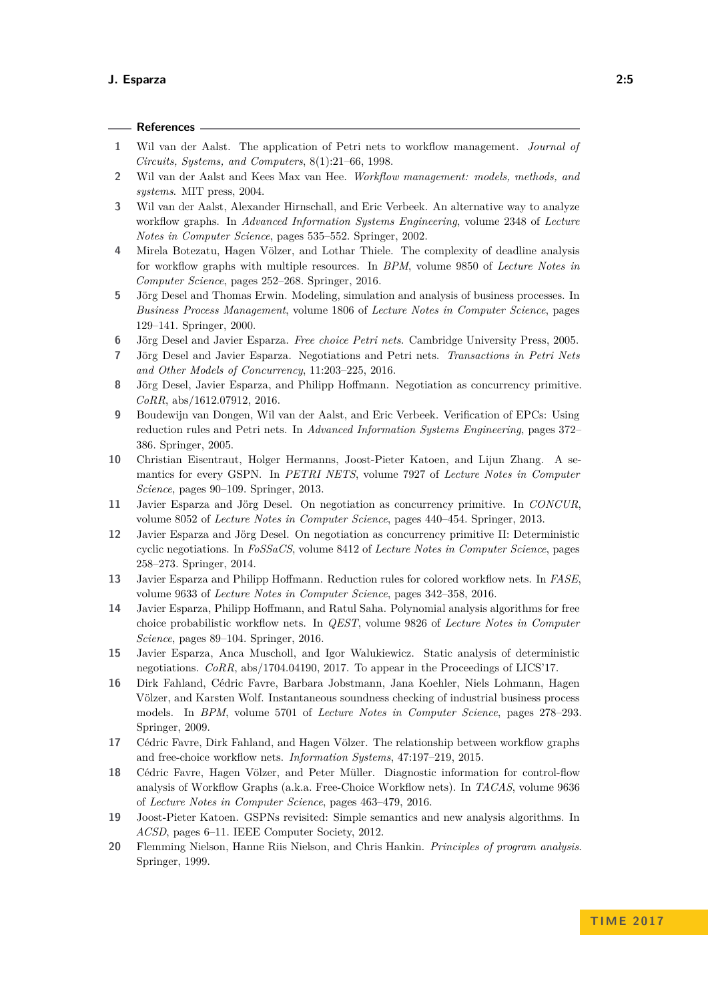<span id="page-4-19"></span><span id="page-4-18"></span><span id="page-4-17"></span><span id="page-4-16"></span><span id="page-4-15"></span><span id="page-4-14"></span><span id="page-4-13"></span><span id="page-4-12"></span><span id="page-4-11"></span><span id="page-4-10"></span><span id="page-4-9"></span><span id="page-4-8"></span><span id="page-4-7"></span><span id="page-4-6"></span><span id="page-4-5"></span><span id="page-4-4"></span><span id="page-4-3"></span><span id="page-4-2"></span><span id="page-4-1"></span><span id="page-4-0"></span>

|                | References -                                                                                                                                                                                                                                                                          |
|----------------|---------------------------------------------------------------------------------------------------------------------------------------------------------------------------------------------------------------------------------------------------------------------------------------|
| 1              | Wil van der Aalst. The application of Petri nets to workflow management. Journal of<br>Circuits, Systems, and Computers, 8(1):21-66, 1998.                                                                                                                                            |
| $\overline{2}$ | Wil van der Aalst and Kees Max van Hee. Workflow management: models, methods, and<br>systems. MIT press, 2004.                                                                                                                                                                        |
| 3              | Wil van der Aalst, Alexander Hirnschall, and Eric Verbeek. An alternative way to analyze<br>workflow graphs. In Advanced Information Systems Engineering, volume 2348 of Lecture<br>Notes in Computer Science, pages 535–552. Springer, 2002.                                         |
| 4              | Mirela Botezatu, Hagen Völzer, and Lothar Thiele. The complexity of deadline analysis<br>for workflow graphs with multiple resources. In BPM, volume 9850 of Lecture Notes in<br>Computer Science, pages 252–268. Springer, 2016.                                                     |
| 5              | Jörg Desel and Thomas Erwin. Modeling, simulation and analysis of business processes. In<br>Business Process Management, volume 1806 of Lecture Notes in Computer Science, pages<br>129-141. Springer, 2000.                                                                          |
| 6              | Jörg Desel and Javier Esparza. Free choice Petri nets. Cambridge University Press, 2005.                                                                                                                                                                                              |
| 7              | Jörg Desel and Javier Esparza. Negotiations and Petri nets. Transactions in Petri Nets<br>and Other Models of Concurrency, 11:203-225, 2016.                                                                                                                                          |
| 8              | Jörg Desel, Javier Esparza, and Philipp Hoffmann. Negotiation as concurrency primitive.<br>$CoRR$ , abs/1612.07912, 2016.                                                                                                                                                             |
| 9              | Boudewijn van Dongen, Wil van der Aalst, and Eric Verbeek. Verification of EPCs: Using<br>reduction rules and Petri nets. In Advanced Information Systems Engineering, pages 372–<br>386. Springer, 2005.                                                                             |
| 10             | Christian Eisentraut, Holger Hermanns, Joost-Pieter Katoen, and Lijun Zhang.<br>A se-<br>mantics for every GSPN. In PETRI NETS, volume 7927 of Lecture Notes in Computer<br><i>Science</i> , pages 90–109. Springer, 2013.                                                            |
| 11             | Javier Esparza and Jörg Desel. On negotiation as concurrency primitive. In CONCUR,<br>volume 8052 of <i>Lecture Notes in Computer Science</i> , pages 440–454. Springer, 2013.                                                                                                        |
| 12             | Javier Esparza and Jörg Desel. On negotiation as concurrency primitive II: Deterministic<br>cyclic negotiations. In FoSSaCS, volume 8412 of Lecture Notes in Computer Science, pages<br>258-273. Springer, 2014.                                                                      |
| 13             | Javier Esparza and Philipp Hoffmann. Reduction rules for colored workflow nets. In FASE,<br>volume 9633 of Lecture Notes in Computer Science, pages 342-358, 2016.                                                                                                                    |
| 14             | Javier Esparza, Philipp Hoffmann, and Ratul Saha. Polynomial analysis algorithms for free<br>choice probabilistic workflow nets. In <i>QEST</i> , volume 9826 of <i>Lecture Notes in Computer</i><br>Science, pages 89-104. Springer, 2016.                                           |
| 15             | Javier Esparza, Anca Muscholl, and Igor Walukiewicz. Static analysis of deterministic<br>negotiations. CoRR, abs/1704.04190, 2017. To appear in the Proceedings of LICS'17.                                                                                                           |
| 16             | Dirk Fahland, Cédric Favre, Barbara Jobstmann, Jana Koehler, Niels Lohmann, Hagen<br>Völzer, and Karsten Wolf. Instantaneous soundness checking of industrial business process<br>models. In BPM, volume 5701 of Lecture Notes in Computer Science, pages 278-293.<br>Springer, 2009. |
| 17             | Cédric Favre, Dirk Fahland, and Hagen Völzer. The relationship between workflow graphs<br>and free-choice workflow nets. <i>Information Systems</i> , 47:197-219, 2015.                                                                                                               |
| 18             | Cédric Favre, Hagen Völzer, and Peter Müller. Diagnostic information for control-flow<br>analysis of Workflow Graphs (a.k.a. Free-Choice Workflow nets). In TACAS, volume 9636<br>of Lecture Notes in Computer Science, pages 463-479, 2016.                                          |
| 19             | Joost-Pieter Katoen. GSPNs revisited: Simple semantics and new analysis algorithms. In<br><i>ACSD</i> , pages 6–11. IEEE Computer Society, 2012.                                                                                                                                      |
| 20             | Flemming Nielson, Hanne Riis Nielson, and Chris Hankin. Principles of program analysis.<br>Springer, 1999.                                                                                                                                                                            |